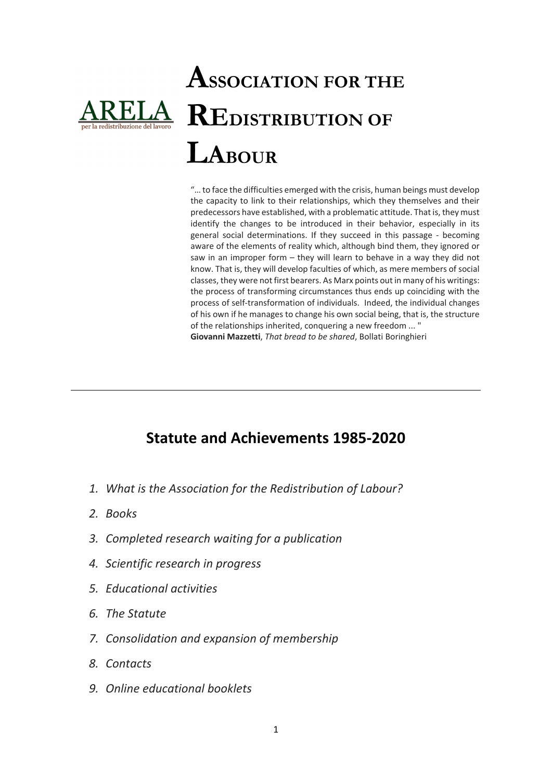# **ASSOCIATION FOR THE REDISTRIBUTION OF LABOUR**

"… to face the difficulties emerged with the crisis, human beings must develop the capacity to link to their relationships, which they themselves and their predecessors have established, with a problematic attitude. That is, they must identify the changes to be introduced in their behavior, especially in its general social determinations. If they succeed in this passage ‐ becoming aware of the elements of reality which, although bind them, they ignored or saw in an improper form – they will learn to behave in a way they did not know. That is, they will develop faculties of which, as mere members of social classes, they were not first bearers. As Marx points out in many of his writings: the process of transforming circumstances thus ends up coinciding with the process of self‐transformation of individuals. Indeed, the individual changes of his own if he manages to change his own social being, that is, the structure of the relationships inherited, conquering a new freedom ... " **Giovanni Mazzetti**, *That bread to be shared*, Bollati Boringhieri

### **Statute and Achievements 1985‐2020**

- *1. What is the Association for the Redistribution of Labour?*
- *2. Books*
- *3. Completed research waiting for a publication*
- *4. Scientific research in progress*
- *5. Educational activities*
- *6. The Statute*
- *7. Consolidation and expansion of membership*
- *8. Contacts*
- *9. Online educational booklets*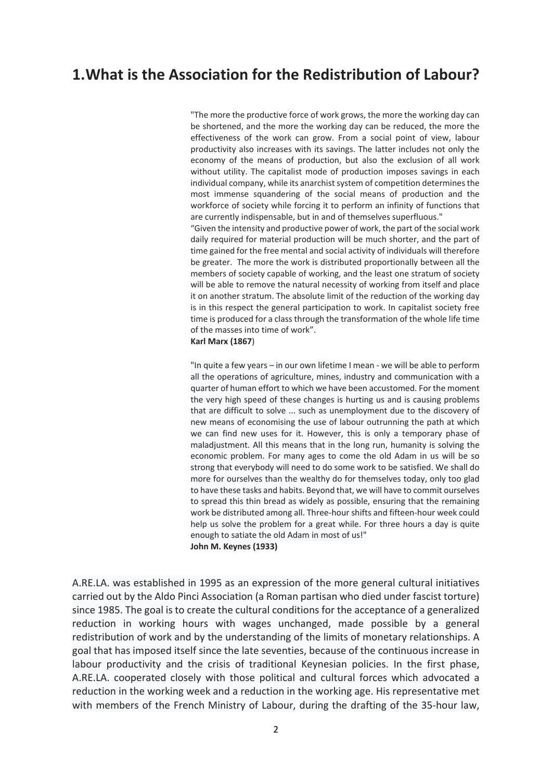### **1.What is the Association for the Redistribution of Labour?**

"The more the productive force of work grows, the more the working day can be shortened, and the more the working day can be reduced, the more the effectiveness of the work can grow. From a social point of view, labour productivity also increases with its savings. The latter includes not only the economy of the means of production, but also the exclusion of all work without utility. The capitalist mode of production imposes savings in each individual company, while its anarchist system of competition determines the most immense squandering of the social means of production and the workforce of society while forcing it to perform an infinity of functions that are currently indispensable, but in and of themselves superfluous."

"Given the intensity and productive power of work, the part of the social work daily required for material production will be much shorter, and the part of time gained for the free mental and social activity of individuals will therefore be greater. The more the work is distributed proportionally between all the members of society capable of working, and the least one stratum of society will be able to remove the natural necessity of working from itself and place it on another stratum. The absolute limit of the reduction of the working day is in this respect the general participation to work. In capitalist society free time is produced for a class through the transformation of the whole life time of the masses into time of work".

#### **Karl Marx (1867**)

"In quite a few years – in our own lifetime I mean ‐ we will be able to perform all the operations of agriculture, mines, industry and communication with a quarter of human effort to which we have been accustomed. For the moment the very high speed of these changes is hurting us and is causing problems that are difficult to solve ... such as unemployment due to the discovery of new means of economising the use of labour outrunning the path at which we can find new uses for it. However, this is only a temporary phase of maladjustment. All this means that in the long run, humanity is solving the economic problem. For many ages to come the old Adam in us will be so strong that everybody will need to do some work to be satisfied. We shall do more for ourselves than the wealthy do for themselves today, only too glad to have these tasks and habits. Beyond that, we will have to commit ourselves to spread this thin bread as widely as possible, ensuring that the remaining work be distributed among all. Three‐hour shifts and fifteen‐hour week could help us solve the problem for a great while. For three hours a day is quite enough to satiate the old Adam in most of us!" **John M. Keynes (1933)**

A.RE.LA. was established in 1995 as an expression of the more general cultural initiatives carried out by the Aldo Pinci Association (a Roman partisan who died under fascist torture) since 1985. The goal is to create the cultural conditions for the acceptance of a generalized reduction in working hours with wages unchanged, made possible by a general redistribution of work and by the understanding of the limits of monetary relationships. A goal that has imposed itself since the late seventies, because of the continuous increase in labour productivity and the crisis of traditional Keynesian policies. In the first phase, A.RE.LA. cooperated closely with those political and cultural forces which advocated a reduction in the working week and a reduction in the working age. His representative met with members of the French Ministry of Labour, during the drafting of the 35-hour law,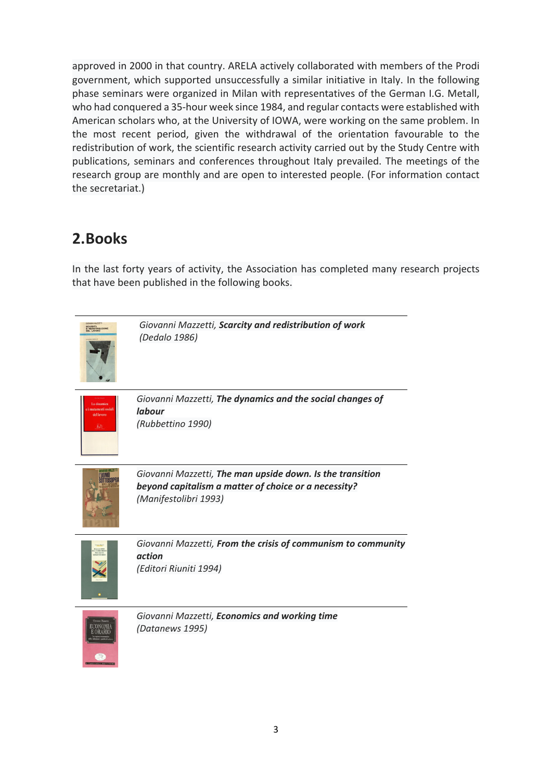approved in 2000 in that country. ARELA actively collaborated with members of the Prodi government, which supported unsuccessfully a similar initiative in Italy. In the following phase seminars were organized in Milan with representatives of the German I.G. Metall, who had conquered a 35‐hour week since 1984, and regular contacts were established with American scholars who, at the University of IOWA, were working on the same problem. In the most recent period, given the withdrawal of the orientation favourable to the redistribution of work, the scientific research activity carried out by the Study Centre with publications, seminars and conferences throughout Italy prevailed. The meetings of the research group are monthly and are open to interested people. (For information contact the secretariat.)

### **2.Books**

In the last forty years of activity, the Association has completed many research projects that have been published in the following books.

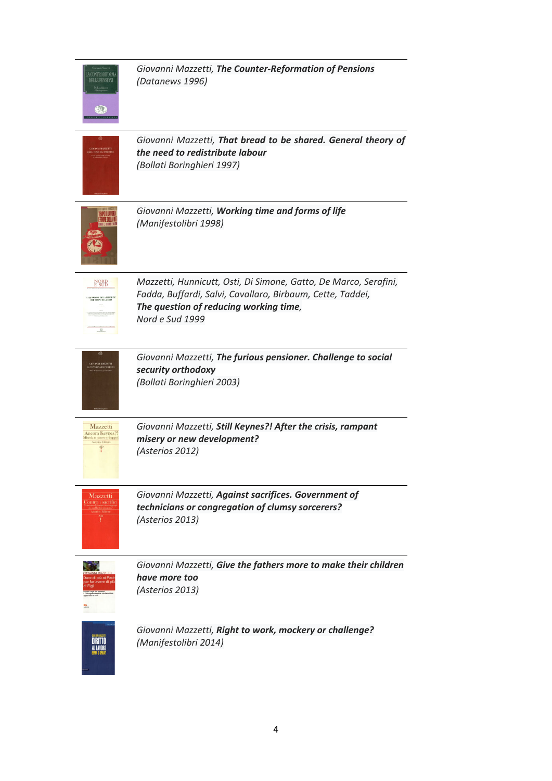|                                                                               | Giovanni Mazzetti, The Counter-Reformation of Pensions<br>(Datanews 1996)                                                                                                                   |
|-------------------------------------------------------------------------------|---------------------------------------------------------------------------------------------------------------------------------------------------------------------------------------------|
|                                                                               | Giovanni Mazzetti, That bread to be shared. General theory of<br>the need to redistribute labour<br>(Bollati Boringhieri 1997)                                                              |
|                                                                               | Giovanni Mazzetti, Working time and forms of life<br>(Manifestolibri 1998)                                                                                                                  |
| NORD<br>E SUD<br><b>QUESTIONE DELLA EIREZIONE</b><br>DEL TEMPO DI LAVORO<br>业 | Mazzetti, Hunnicutt, Osti, Di Simone, Gatto, De Marco, Serafini,<br>Fadda, Buffardi, Salvi, Cavallaro, Birbaum, Cette, Taddei,<br>The question of reducing working time,<br>Nord e Sud 1999 |
| <b>HOVANNI MAZZETTI</b>                                                       | Giovanni Mazzetti, The furious pensioner. Challenge to social<br>security orthodoxy<br>(Bollati Boringhieri 2003)                                                                           |
| Mazzetti<br>Ancora Keynes?!<br>fiseria o nuovo sviluppo<br>crios Editor       | Giovanni Mazzetti, Still Keynes?! After the crisis, rampant<br>misery or new development?<br>(Asterios 2012)                                                                                |
| Mazzetti                                                                      | Giovanni Mazzetti, Against sacrifices. Government of<br>technicians or congregation of clumsy sorcerers?<br>(Asterios 2013)                                                                 |
|                                                                               | Giovanni Mazzetti, Give the fathers more to make their children<br>have more too<br>(Asterios 2013)                                                                                         |
|                                                                               | Giovanni Mazzetti, Right to work, mockery or challenge?<br>(Manifestolibri 2014)                                                                                                            |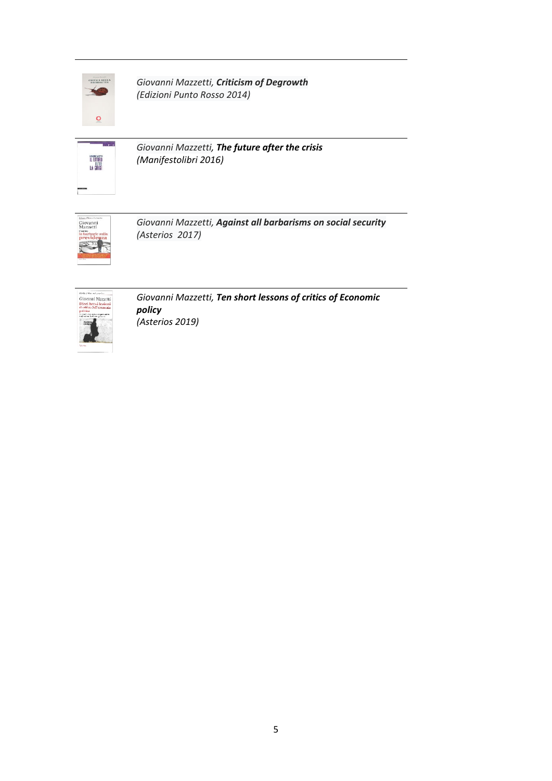

*Giovanni Mazzetti, Criticism of Degrowth (Edizioni Punto Rosso 2014)*



*Giovanni Mazzetti, The future after the crisis (Manifestolibri 2016)*



*Giovanni Mazzetti, Against all barbarisms on social security (Asterios 2017)*



*Giovanni Mazzetti, Ten short lessons of critics of Economic policy (Asterios 2019)*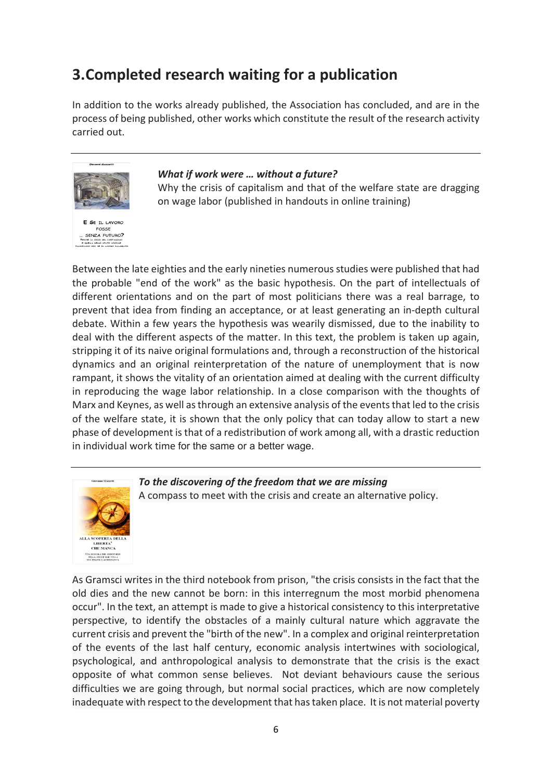### **3.Completed research waiting for a publication**

In addition to the works already published, the Association has concluded, and are in the process of being published, other works which constitute the result of the research activity carried out.



#### *What if work were … without a future?* Why the crisis of capitalism and that of the welfare state are dragging on wage labor (published in handouts in online training)

Between the late eighties and the early nineties numerousstudies were published that had the probable "end of the work" as the basic hypothesis. On the part of intellectuals of different orientations and on the part of most politicians there was a real barrage, to prevent that idea from finding an acceptance, or at least generating an in‐depth cultural debate. Within a few years the hypothesis was wearily dismissed, due to the inability to deal with the different aspects of the matter. In this text, the problem is taken up again, stripping it of its naive original formulations and, through a reconstruction of the historical dynamics and an original reinterpretation of the nature of unemployment that is now rampant, it shows the vitality of an orientation aimed at dealing with the current difficulty in reproducing the wage labor relationship. In a close comparison with the thoughts of Marx and Keynes, as well asthrough an extensive analysis of the eventsthat led to the crisis of the welfare state, it is shown that the only policy that can today allow to start a new phase of development isthat of a redistribution of work among all, with a drastic reduction in individual work time for the same or a better wage.



*To the discovering of the freedom that we are missing* A compass to meet with the crisis and create an alternative policy.

As Gramsci writes in the third notebook from prison, "the crisis consists in the fact that the old dies and the new cannot be born: in this interregnum the most morbid phenomena occur". In the text, an attempt is made to give a historical consistency to this interpretative perspective, to identify the obstacles of a mainly cultural nature which aggravate the current crisis and prevent the "birth of the new". In a complex and original reinterpretation of the events of the last half century, economic analysis intertwines with sociological, psychological, and anthropological analysis to demonstrate that the crisis is the exact opposite of what common sense believes. Not deviant behaviours cause the serious difficulties we are going through, but normal social practices, which are now completely inadequate with respect to the development that hastaken place. It is not material poverty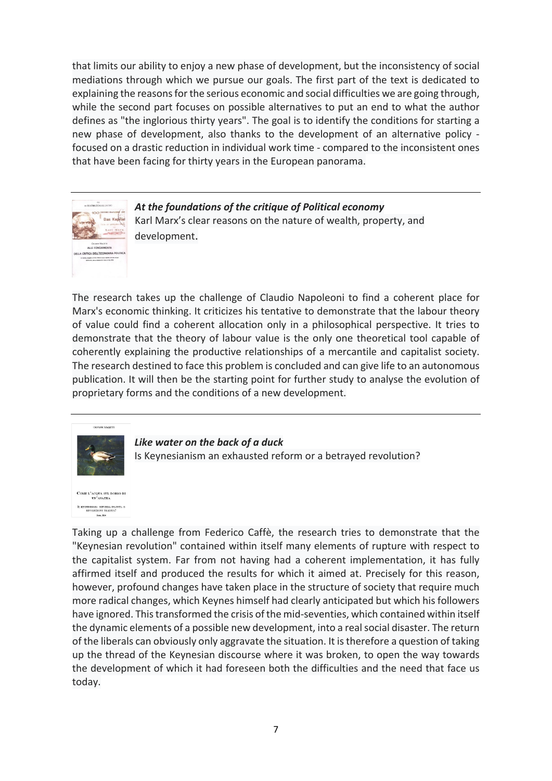that limits our ability to enjoy a new phase of development, but the inconsistency of social mediations through which we pursue our goals. The first part of the text is dedicated to explaining the reasons for the serious economic and social difficulties we are going through, while the second part focuses on possible alternatives to put an end to what the author defines as "the inglorious thirty years". The goal is to identify the conditions for starting a new phase of development, also thanks to the development of an alternative policy ‐ focused on a drastic reduction in individual work time ‐ compared to the inconsistent ones that have been facing for thirty years in the European panorama.



*At the foundations of the critique of Political economy* Karl Marx's clear reasons on the nature of wealth, property, and development.

The research takes up the challenge of Claudio Napoleoni to find a coherent place for Marx's economic thinking. It criticizes his tentative to demonstrate that the labour theory of value could find a coherent allocation only in a philosophical perspective. It tries to demonstrate that the theory of labour value is the only one theoretical tool capable of coherently explaining the productive relationships of a mercantile and capitalist society. The research destined to face this problem is concluded and can give life to an autonomous publication. It will then be the starting point for further study to analyse the evolution of proprietary forms and the conditions of a new development.



E L'ACQUA SUL DORSO DI<br>UN'ANATRA inesismo: riforma esar<br>rivoluzione tradita?

*Like water on the back of a duck* Is Keynesianism an exhausted reform or a betrayed revolution?

Taking up a challenge from Federico Caffè, the research tries to demonstrate that the "Keynesian revolution" contained within itself many elements of rupture with respect to the capitalist system. Far from not having had a coherent implementation, it has fully affirmed itself and produced the results for which it aimed at. Precisely for this reason, however, profound changes have taken place in the structure of society that require much more radical changes, which Keynes himself had clearly anticipated but which his followers have ignored. This transformed the crisis of the mid-seventies, which contained within itself the dynamic elements of a possible new development, into a realsocial disaster. The return of the liberals can obviously only aggravate the situation. It istherefore a question of taking up the thread of the Keynesian discourse where it was broken, to open the way towards the development of which it had foreseen both the difficulties and the need that face us today.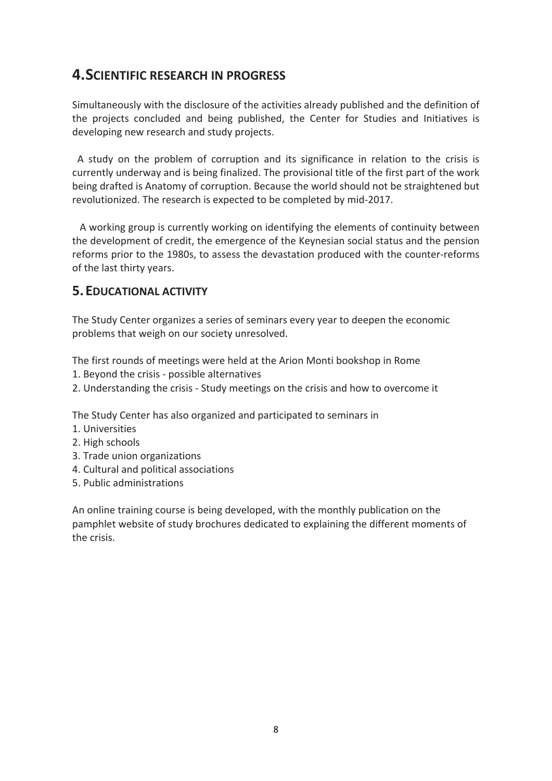### **4.SCIENTIFIC RESEARCH IN PROGRESS**

Simultaneously with the disclosure of the activities already published and the definition of the projects concluded and being published, the Center for Studies and Initiatives is developing new research and study projects.

 A study on the problem of corruption and its significance in relation to the crisis is currently underway and is being finalized. The provisional title of the first part of the work being drafted is Anatomy of corruption. Because the world should not be straightened but revolutionized. The research is expected to be completed by mid‐2017.

 A working group is currently working on identifying the elements of continuity between the development of credit, the emergence of the Keynesian social status and the pension reforms prior to the 1980s, to assess the devastation produced with the counter‐reforms of the last thirty years.

### **5.EDUCATIONAL ACTIVITY**

The Study Center organizes a series of seminars every year to deepen the economic problems that weigh on our society unresolved.

The first rounds of meetings were held at the Arion Monti bookshop in Rome

- 1. Beyond the crisis ‐ possible alternatives
- 2. Understanding the crisis ‐ Study meetings on the crisis and how to overcome it

The Study Center has also organized and participated to seminars in

- 1. Universities
- 2. High schools
- 3. Trade union organizations
- 4. Cultural and political associations
- 5. Public administrations

An online training course is being developed, with the monthly publication on the pamphlet website of study brochures dedicated to explaining the different moments of the crisis.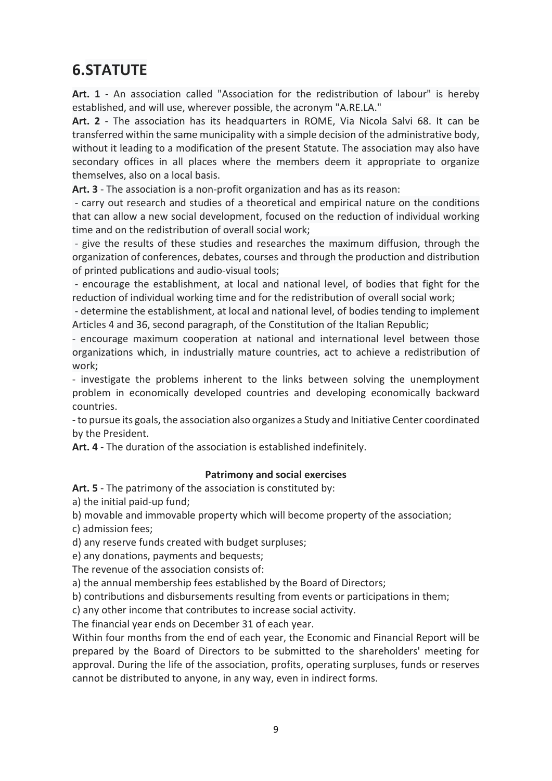### **6.STATUTE**

Art. 1 - An association called "Association for the redistribution of labour" is hereby established, and will use, wherever possible, the acronym "A.RE.LA."

Art. 2 - The association has its headquarters in ROME, Via Nicola Salvi 68. It can be transferred within the same municipality with a simple decision of the administrative body, without it leading to a modification of the present Statute. The association may also have secondary offices in all places where the members deem it appropriate to organize themselves, also on a local basis.

**Art. 3** ‐ The association is a non‐profit organization and has as its reason:

 ‐ carry out research and studies of a theoretical and empirical nature on the conditions that can allow a new social development, focused on the reduction of individual working time and on the redistribution of overall social work;

 ‐ give the results of these studies and researches the maximum diffusion, through the organization of conferences, debates, courses and through the production and distribution of printed publications and audio‐visual tools;

 ‐ encourage the establishment, at local and national level, of bodies that fight for the reduction of individual working time and for the redistribution of overall social work;

 ‐ determine the establishment, at local and national level, of bodies tending to implement Articles 4 and 36, second paragraph, of the Constitution of the Italian Republic;

‐ encourage maximum cooperation at national and international level between those organizations which, in industrially mature countries, act to achieve a redistribution of work;

‐ investigate the problems inherent to the links between solving the unemployment problem in economically developed countries and developing economically backward countries.

‐ to pursue its goals, the association also organizes a Study and Initiative Center coordinated by the President.

**Art. 4** ‐ The duration of the association is established indefinitely.

#### **Patrimony and social exercises**

**Art. 5** ‐ The patrimony of the association is constituted by:

a) the initial paid‐up fund;

b) movable and immovable property which will become property of the association;

c) admission fees;

d) any reserve funds created with budget surpluses;

e) any donations, payments and bequests;

The revenue of the association consists of:

a) the annual membership fees established by the Board of Directors;

b) contributions and disbursements resulting from events or participations in them;

c) any other income that contributes to increase social activity.

The financial year ends on December 31 of each year.

Within four months from the end of each year, the Economic and Financial Report will be prepared by the Board of Directors to be submitted to the shareholders' meeting for approval. During the life of the association, profits, operating surpluses, funds or reserves cannot be distributed to anyone, in any way, even in indirect forms.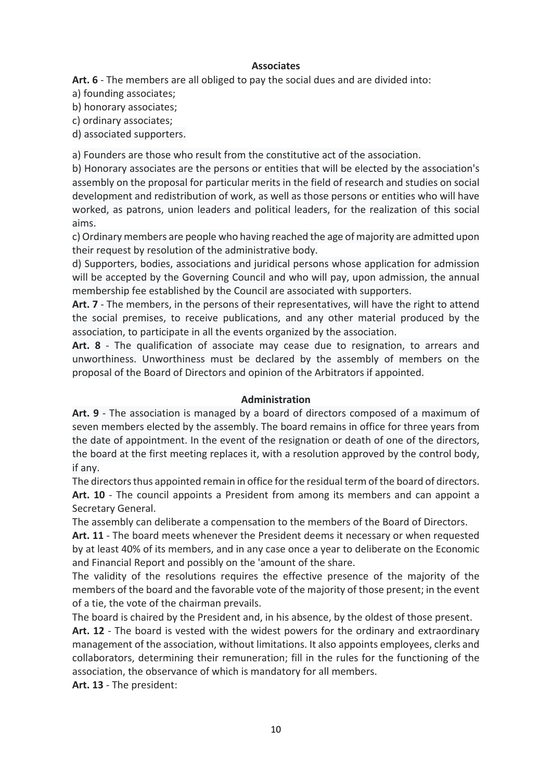#### **Associates**

**Art. 6** ‐ The members are all obliged to pay the social dues and are divided into:

a) founding associates;

b) honorary associates;

c) ordinary associates;

d) associated supporters.

a) Founders are those who result from the constitutive act of the association.

b) Honorary associates are the persons or entities that will be elected by the association's assembly on the proposal for particular merits in the field of research and studies on social development and redistribution of work, as well as those persons or entities who will have worked, as patrons, union leaders and political leaders, for the realization of this social aims.

c) Ordinary members are people who having reached the age of majority are admitted upon their request by resolution of the administrative body.

d) Supporters, bodies, associations and juridical persons whose application for admission will be accepted by the Governing Council and who will pay, upon admission, the annual membership fee established by the Council are associated with supporters.

**Art. 7** ‐ The members, in the persons of their representatives, will have the right to attend the social premises, to receive publications, and any other material produced by the association, to participate in all the events organized by the association.

Art. 8 - The qualification of associate may cease due to resignation, to arrears and unworthiness. Unworthiness must be declared by the assembly of members on the proposal of the Board of Directors and opinion of the Arbitrators if appointed.

#### **Administration**

Art. 9 - The association is managed by a board of directors composed of a maximum of seven members elected by the assembly. The board remains in office for three years from the date of appointment. In the event of the resignation or death of one of the directors, the board at the first meeting replaces it, with a resolution approved by the control body, if any.

The directors thus appointed remain in office for the residual term of the board of directors. Art. 10 - The council appoints a President from among its members and can appoint a Secretary General.

The assembly can deliberate a compensation to the members of the Board of Directors.

**Art. 11** ‐ The board meets whenever the President deems it necessary or when requested by at least 40% of its members, and in any case once a year to deliberate on the Economic and Financial Report and possibly on the 'amount of the share.

The validity of the resolutions requires the effective presence of the majority of the members of the board and the favorable vote of the majority of those present; in the event of a tie, the vote of the chairman prevails.

The board is chaired by the President and, in his absence, by the oldest of those present. **Art. 12** ‐ The board is vested with the widest powers for the ordinary and extraordinary management of the association, without limitations. It also appoints employees, clerks and collaborators, determining their remuneration; fill in the rules for the functioning of the association, the observance of which is mandatory for all members.

**Art. 13** ‐ The president: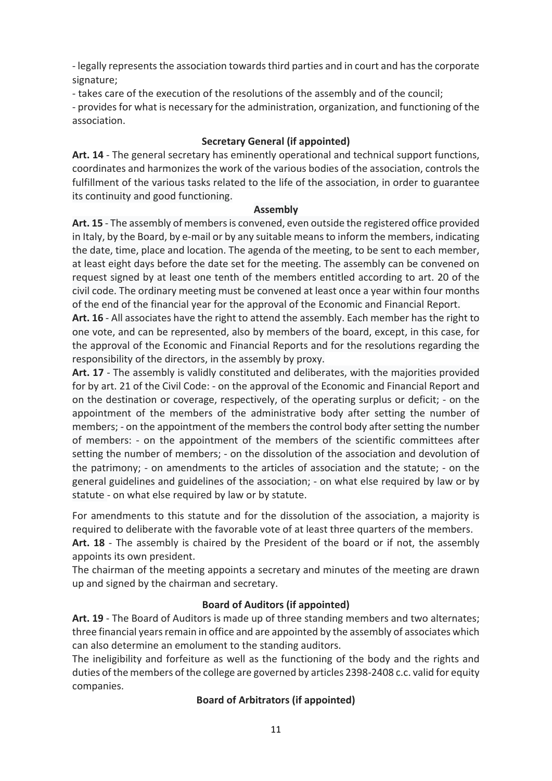- legally represents the association towards third parties and in court and has the corporate signature;

‐ takes care of the execution of the resolutions of the assembly and of the council;

- provides for what is necessary for the administration, organization, and functioning of the association.

#### **Secretary General (if appointed)**

**Art. 14** ‐ The general secretary has eminently operational and technical support functions, coordinates and harmonizes the work of the various bodies of the association, controls the fulfillment of the various tasks related to the life of the association, in order to guarantee its continuity and good functioning.

#### **Assembly**

**Art. 15** ‐ The assembly of membersis convened, even outside the registered office provided in Italy, by the Board, by e‐mail or by any suitable meansto inform the members, indicating the date, time, place and location. The agenda of the meeting, to be sent to each member, at least eight days before the date set for the meeting. The assembly can be convened on request signed by at least one tenth of the members entitled according to art. 20 of the civil code. The ordinary meeting must be convened at least once a year within four months of the end of the financial year for the approval of the Economic and Financial Report.

**Art. 16** ‐ All associates have the right to attend the assembly. Each member has the right to one vote, and can be represented, also by members of the board, except, in this case, for the approval of the Economic and Financial Reports and for the resolutions regarding the responsibility of the directors, in the assembly by proxy.

**Art. 17** ‐ The assembly is validly constituted and deliberates, with the majorities provided for by art. 21 of the Civil Code: - on the approval of the Economic and Financial Report and on the destination or coverage, respectively, of the operating surplus or deficit; ‐ on the appointment of the members of the administrative body after setting the number of members; - on the appointment of the members the control body after setting the number of members: ‐ on the appointment of the members of the scientific committees after setting the number of members; - on the dissolution of the association and devolution of the patrimony; ‐ on amendments to the articles of association and the statute; ‐ on the general guidelines and guidelines of the association; ‐ on what else required by law or by statute ‐ on what else required by law or by statute.

For amendments to this statute and for the dissolution of the association, a majority is required to deliberate with the favorable vote of at least three quarters of the members.

Art. 18 - The assembly is chaired by the President of the board or if not, the assembly appoints its own president.

The chairman of the meeting appoints a secretary and minutes of the meeting are drawn up and signed by the chairman and secretary.

#### **Board of Auditors (if appointed)**

**Art. 19** ‐ The Board of Auditors is made up of three standing members and two alternates; three financial years remain in office and are appointed by the assembly of associates which can also determine an emolument to the standing auditors.

The ineligibility and forfeiture as well as the functioning of the body and the rights and duties of the members of the college are governed by articles 2398-2408 c.c. valid for equity companies.

#### **Board of Arbitrators (if appointed)**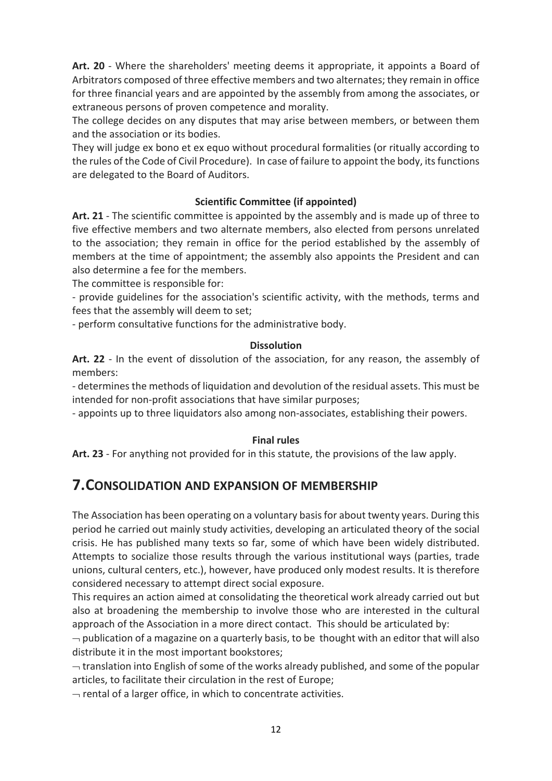Art. 20 - Where the shareholders' meeting deems it appropriate, it appoints a Board of Arbitrators composed of three effective members and two alternates; they remain in office for three financial years and are appointed by the assembly from among the associates, or extraneous persons of proven competence and morality.

The college decides on any disputes that may arise between members, or between them and the association or its bodies.

They will judge ex bono et ex equo without procedural formalities (or ritually according to the rules of the Code of Civil Procedure). In case of failure to appoint the body, itsfunctions are delegated to the Board of Auditors.

#### **Scientific Committee (if appointed)**

**Art. 21** ‐ The scientific committee is appointed by the assembly and is made up of three to five effective members and two alternate members, also elected from persons unrelated to the association; they remain in office for the period established by the assembly of members at the time of appointment; the assembly also appoints the President and can also determine a fee for the members.

The committee is responsible for:

‐ provide guidelines for the association's scientific activity, with the methods, terms and fees that the assembly will deem to set;

‐ perform consultative functions for the administrative body.

#### **Dissolution**

Art. 22 - In the event of dissolution of the association, for any reason, the assembly of members:

‐ determines the methods of liquidation and devolution of the residual assets. This must be intended for non-profit associations that have similar purposes;

‐ appoints up to three liquidators also among non‐associates, establishing their powers.

#### **Final rules**

**Art. 23** ‐ For anything not provided for in this statute, the provisions of the law apply.

### **7.CONSOLIDATION AND EXPANSION OF MEMBERSHIP**

The Association has been operating on a voluntary basisfor about twenty years. During this period he carried out mainly study activities, developing an articulated theory of the social crisis. He has published many texts so far, some of which have been widely distributed. Attempts to socialize those results through the various institutional ways (parties, trade unions, cultural centers, etc.), however, have produced only modest results. It is therefore considered necessary to attempt direct social exposure.

This requires an action aimed at consolidating the theoretical work already carried out but also at broadening the membership to involve those who are interested in the cultural approach of the Association in a more direct contact. This should be articulated by:

 $\neg$  publication of a magazine on a quarterly basis, to be thought with an editor that will also distribute it in the most important bookstores;

 $\rightarrow$  translation into English of some of the works already published, and some of the popular articles, to facilitate their circulation in the rest of Europe;

 $\rightarrow$  rental of a larger office, in which to concentrate activities.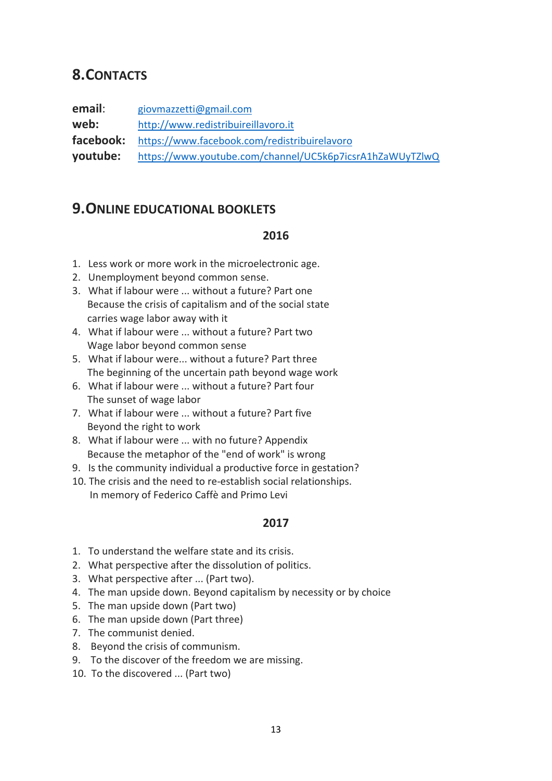### **8.CONTACTS**

**email**: giovmazzetti@gmail.com **web:**  http://www.redistribuireillavoro.it **facebook:**  https://www.facebook.com/redistribuirelavoro **youtube:**  https://www.youtube.com/channel/UC5k6p7icsrA1hZaWUyTZlwQ

### **9.ONLINE EDUCATIONAL BOOKLETS**

#### **2016**

- 1. Less work or more work in the microelectronic age.
- 2. Unemployment beyond common sense.
- 3. What if labour were ... without a future? Part one Because the crisis of capitalism and of the social state carries wage labor away with it
- 4. What if labour were ... without a future? Part two Wage labor beyond common sense
- 5. What if labour were... without a future? Part three The beginning of the uncertain path beyond wage work
- 6. What if labour were ... without a future? Part four The sunset of wage labor
- 7. What if labour were ... without a future? Part five Beyond the right to work
- 8. What if labour were ... with no future? Appendix Because the metaphor of the "end of work" is wrong
- 9. Is the community individual a productive force in gestation?
- 10. The crisis and the need to re-establish social relationships. In memory of Federico Caffè and Primo Levi

#### **2017**

- 1. To understand the welfare state and its crisis.
- 2. What perspective after the dissolution of politics.
- 3. What perspective after ... (Part two).
- 4. The man upside down. Beyond capitalism by necessity or by choice
- 5. The man upside down (Part two)
- 6. The man upside down (Part three)
- 7. The communist denied.
- 8. Beyond the crisis of communism.
- 9. To the discover of the freedom we are missing.
- 10. To the discovered ... (Part two)